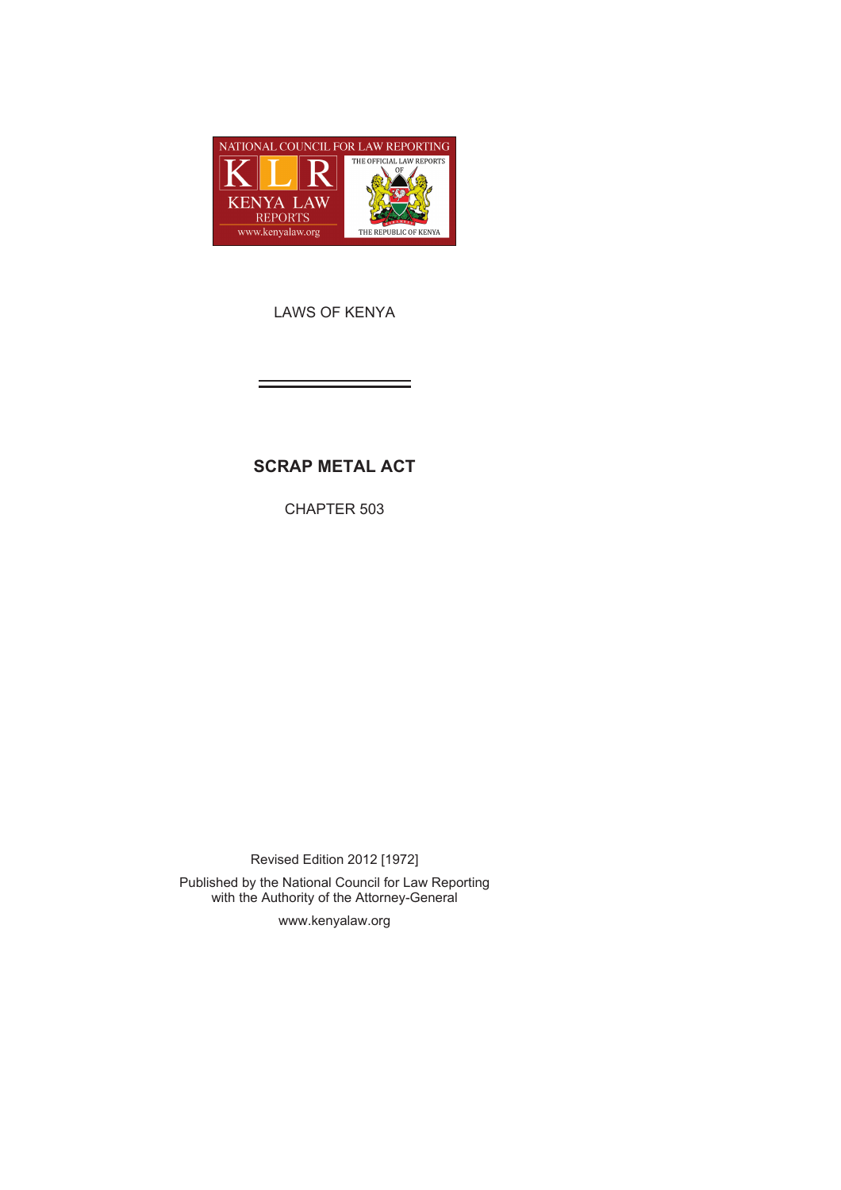

LAWS OF KENYA

# **SCRAP METAL ACT**

CHAPTER 503

Revised Edition 2012 [1972] Published by the National Council for Law Reporting with the Authority of the Attorney-General

www.kenyalaw.org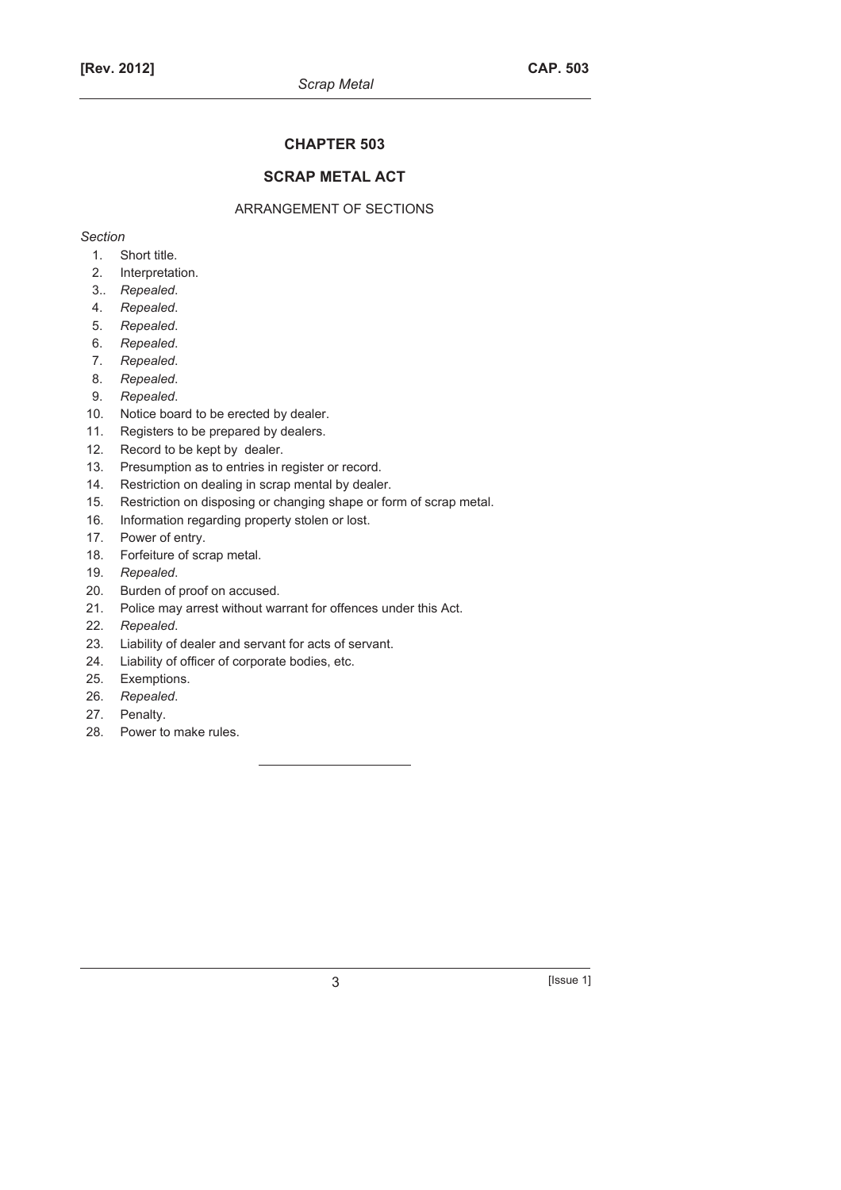### **CHAPTER 503**

### **SCRAP METAL ACT**

### ARRANGEMENT OF SECTIONS

*Section* 

- 1. Short title.
- 2. Interpretation.
- 3.. *Repealed*.
- 4. *Repealed*.
- 5. *Repealed*.
- 6. *Repealed*.
- 7. *Repealed*.
- 8. *Repealed*.
- 9. *Repealed*.
- 10. Notice board to be erected by dealer.
- 11. Registers to be prepared by dealers.
- 12. Record to be kept by dealer.
- 13. Presumption as to entries in register or record.
- 14. Restriction on dealing in scrap mental by dealer.
- 15. Restriction on disposing or changing shape or form of scrap metal.
- 16. Information regarding property stolen or lost.
- 17. Power of entry.
- 18. Forfeiture of scrap metal.
- 19. *Repealed*.
- 20. Burden of proof on accused.
- 21. Police may arrest without warrant for offences under this Act.
- 22. *Repealed*.
- 23. Liability of dealer and servant for acts of servant.
- 24. Liability of officer of corporate bodies, etc.
- 25. Exemptions.
- 26. *Repealed*.
- 27. Penalty.
- 28. Power to make rules.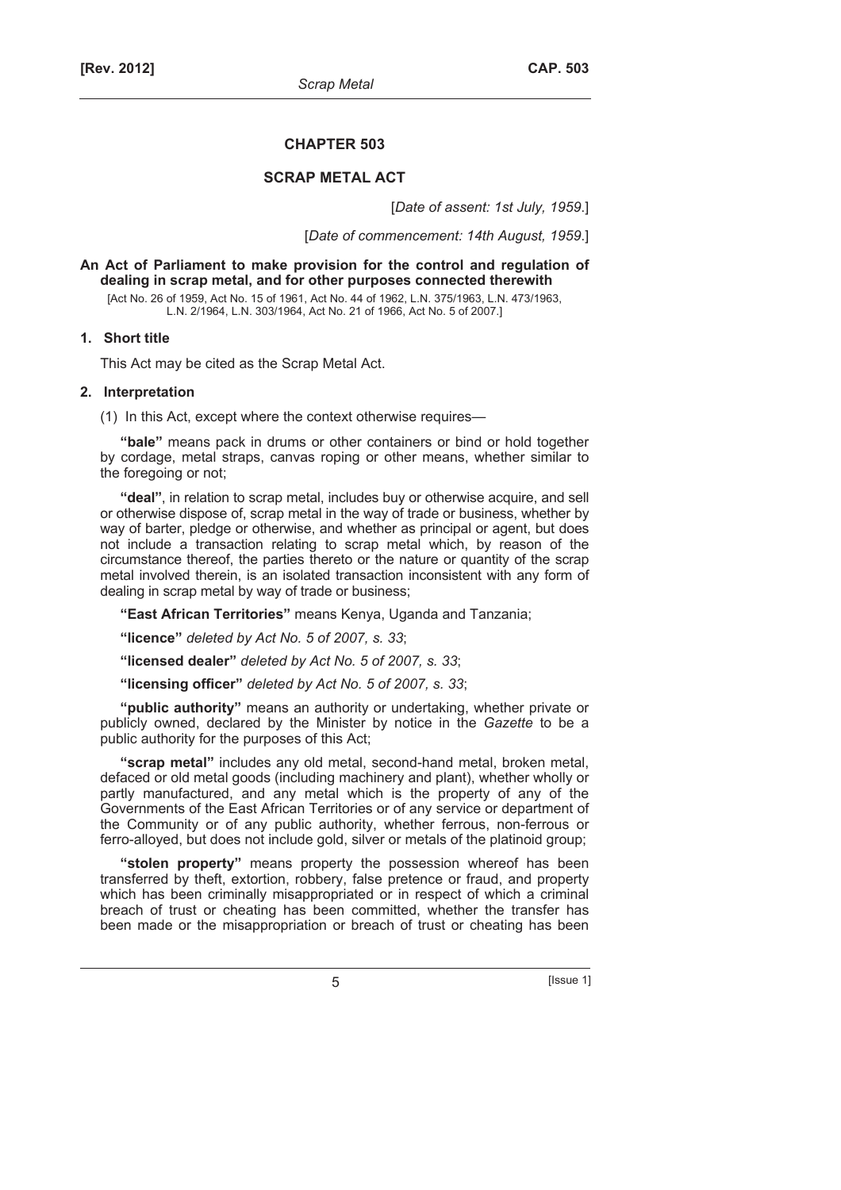#### **CHAPTER 503**

#### **SCRAP METAL ACT**

[*Date of assent: 1st July, 1959*.]

[*Date of commencement: 14th August, 1959*.]

#### **An Act of Parliament to make provision for the control and regulation of dealing in scrap metal, and for other purposes connected therewith**

[Act No. 26 of 1959, Act No. 15 of 1961, Act No. 44 of 1962, L.N. 375/1963, L.N. 473/1963, L.N. 2/1964, L.N. 303/1964, Act No. 21 of 1966, Act No. 5 of 2007.]

### **1. Short title**

This Act may be cited as the Scrap Metal Act.

### **2. Interpretation**

(1) In this Act, except where the context otherwise requires—

**"bale"** means pack in drums or other containers or bind or hold together by cordage, metal straps, canvas roping or other means, whether similar to the foregoing or not;

**"deal"**, in relation to scrap metal, includes buy or otherwise acquire, and sell or otherwise dispose of, scrap metal in the way of trade or business, whether by way of barter, pledge or otherwise, and whether as principal or agent, but does not include a transaction relating to scrap metal which, by reason of the circumstance thereof, the parties thereto or the nature or quantity of the scrap metal involved therein, is an isolated transaction inconsistent with any form of dealing in scrap metal by way of trade or business;

**"East African Territories"** means Kenya, Uganda and Tanzania;

**"licence"** *deleted by Act No. 5 of 2007, s. 33*;

**"licensed dealer"** *deleted by Act No. 5 of 2007, s. 33*;

**"licensing officer"** *deleted by Act No. 5 of 2007, s. 33*;

**"public authority"** means an authority or undertaking, whether private or publicly owned, declared by the Minister by notice in the *Gazette* to be a public authority for the purposes of this Act;

**"scrap metal"** includes any old metal, second-hand metal, broken metal, defaced or old metal goods (including machinery and plant), whether wholly or partly manufactured, and any metal which is the property of any of the Governments of the East African Territories or of any service or department of the Community or of any public authority, whether ferrous, non-ferrous or ferro-alloyed, but does not include gold, silver or metals of the platinoid group;

**"stolen property"** means property the possession whereof has been transferred by theft, extortion, robbery, false pretence or fraud, and property which has been criminally misappropriated or in respect of which a criminal breach of trust or cheating has been committed, whether the transfer has been made or the misappropriation or breach of trust or cheating has been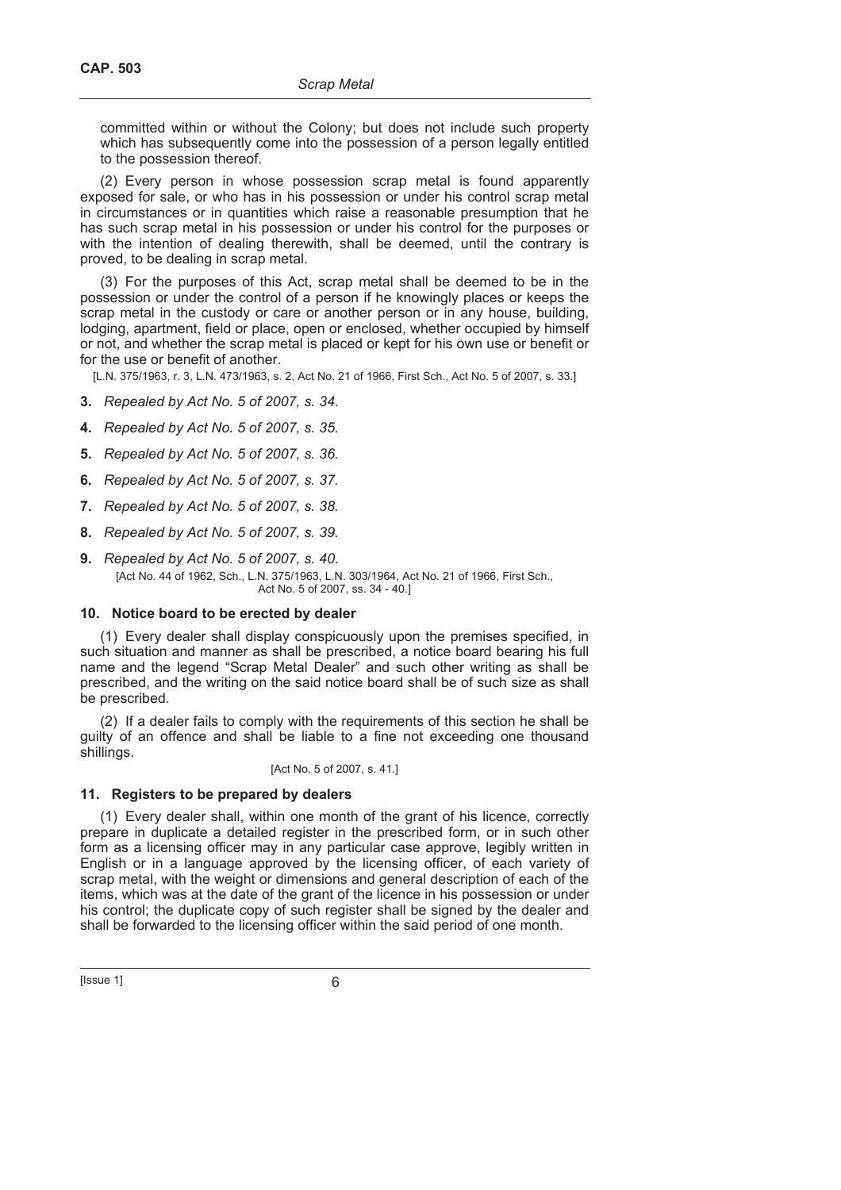committed within or without the Colony; but does not include such property which has subsequently come into the possession of a person legally entitled to the possession thereof.

(2) Every person in whose possession scrap metal is found apparently exposed for sale, or who has in his possession or under his control scrap metal in circumstances or in quantities which raise a reasonable presumption that he has such scrap metal in his possession or under his control for the purposes or with the intention of dealing therewith, shall be deemed, until the contrary is proved, to be dealing in scrap metal.

(3) For the purposes of this Act, scrap metal shall be deemed to be in the possession or under the control of a person if he knowingly places or keeps the scrap metal in the custody or care or another person or in any house, building, lodging, apartment, field or place, open or enclosed, whether occupied by himself or not, and whether the scrap metal is placed or kept for his own use or benefit or for the use or benefit of another.

[L.N. 375/1963, r. 3, L.N. 473/1963, s. 2, Act No. 21 of 1966, First Sch., Act No. 5 of 2007, s. 33.]

- **3.** *Repealed by Act No. 5 of 2007, s. 34*.
- **4.** *Repealed by Act No. 5 of 2007, s. 35.*
- **5.** *Repealed by Act No. 5 of 2007, s. 36.*
- **6.** *Repealed by Act No. 5 of 2007, s. 37.*
- **7.** *Repealed by Act No. 5 of 2007, s. 38.*
- **8.** *Repealed by Act No. 5 of 2007, s. 39.*
- **9.** *Repealed by Act No. 5 of 2007, s. 40*. [Act No. 44 of 1962, Sch., L.N. 375/1963, L.N. 303/1964, Act No. 21 of 1966, First Sch., Act No. 5 of 2007, ss. 34 - 40.]

### **10. Notice board to be erected by dealer**

(1) Every dealer shall display conspicuously upon the premises specified, in such situation and manner as shall be prescribed, a notice board bearing his full name and the legend "Scrap Metal Dealer" and such other writing as shall be prescribed, and the writing on the said notice board shall be of such size as shall be prescribed.

(2) If a dealer fails to comply with the requirements of this section he shall be guilty of an offence and shall be liable to a fine not exceeding one thousand shillings.

### [Act No. 5 of 2007, s. 41.]

### **11. Registers to be prepared by dealers**

(1) Every dealer shall, within one month of the grant of his licence, correctly prepare in duplicate a detailed register in the prescribed form, or in such other form as a licensing officer may in any particular case approve, legibly written in English or in a language approved by the licensing officer, of each variety of scrap metal, with the weight or dimensions and general description of each of the items, which was at the date of the grant of the licence in his possession or under his control; the duplicate copy of such register shall be signed by the dealer and shall be forwarded to the licensing officer within the said period of one month.

 $[|$  Issue 1 $]$  6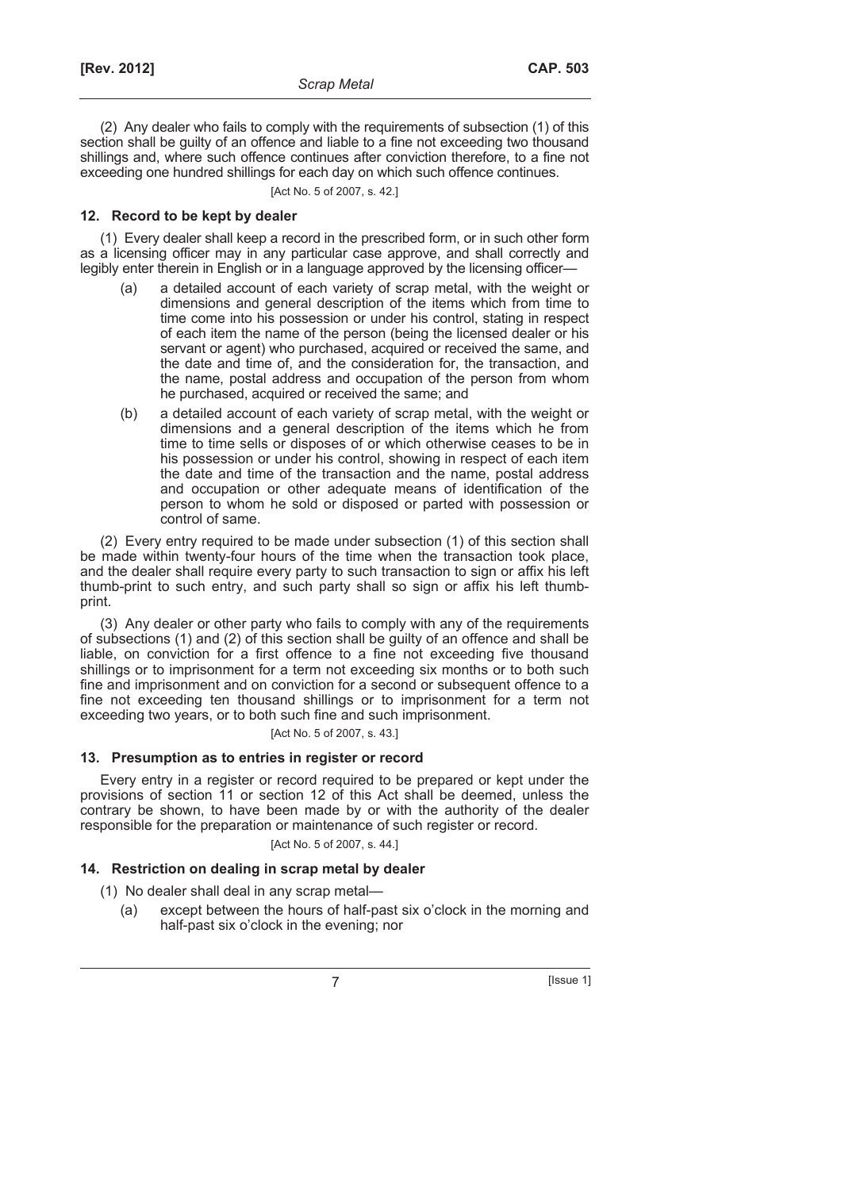(2) Any dealer who fails to comply with the requirements of subsection (1) of this section shall be guilty of an offence and liable to a fine not exceeding two thousand shillings and, where such offence continues after conviction therefore, to a fine not exceeding one hundred shillings for each day on which such offence continues.

[Act No. 5 of 2007, s. 42.]

### **12. Record to be kept by dealer**

(1) Every dealer shall keep a record in the prescribed form, or in such other form as a licensing officer may in any particular case approve, and shall correctly and legibly enter therein in English or in a language approved by the licensing officer—

- (a) a detailed account of each variety of scrap metal, with the weight or dimensions and general description of the items which from time to time come into his possession or under his control, stating in respect of each item the name of the person (being the licensed dealer or his servant or agent) who purchased, acquired or received the same, and the date and time of, and the consideration for, the transaction, and the name, postal address and occupation of the person from whom he purchased, acquired or received the same; and
- (b) a detailed account of each variety of scrap metal, with the weight or dimensions and a general description of the items which he from time to time sells or disposes of or which otherwise ceases to be in his possession or under his control, showing in respect of each item the date and time of the transaction and the name, postal address and occupation or other adequate means of identification of the person to whom he sold or disposed or parted with possession or control of same.

(2) Every entry required to be made under subsection (1) of this section shall be made within twenty-four hours of the time when the transaction took place, and the dealer shall require every party to such transaction to sign or affix his left thumb-print to such entry, and such party shall so sign or affix his left thumbprint.

(3) Any dealer or other party who fails to comply with any of the requirements of subsections (1) and (2) of this section shall be guilty of an offence and shall be liable, on conviction for a first offence to a fine not exceeding five thousand shillings or to imprisonment for a term not exceeding six months or to both such fine and imprisonment and on conviction for a second or subsequent offence to a fine not exceeding ten thousand shillings or to imprisonment for a term not exceeding two years, or to both such fine and such imprisonment.

[Act No. 5 of 2007, s. 43.]

### **13. Presumption as to entries in register or record**

Every entry in a register or record required to be prepared or kept under the provisions of section 11 or section 12 of this Act shall be deemed, unless the contrary be shown, to have been made by or with the authority of the dealer responsible for the preparation or maintenance of such register or record.

#### [Act No. 5 of 2007, s. 44.]

### **14. Restriction on dealing in scrap metal by dealer**

(1) No dealer shall deal in any scrap metal—

 (a) except between the hours of half-past six o'clock in the morning and half-past six o'clock in the evening; nor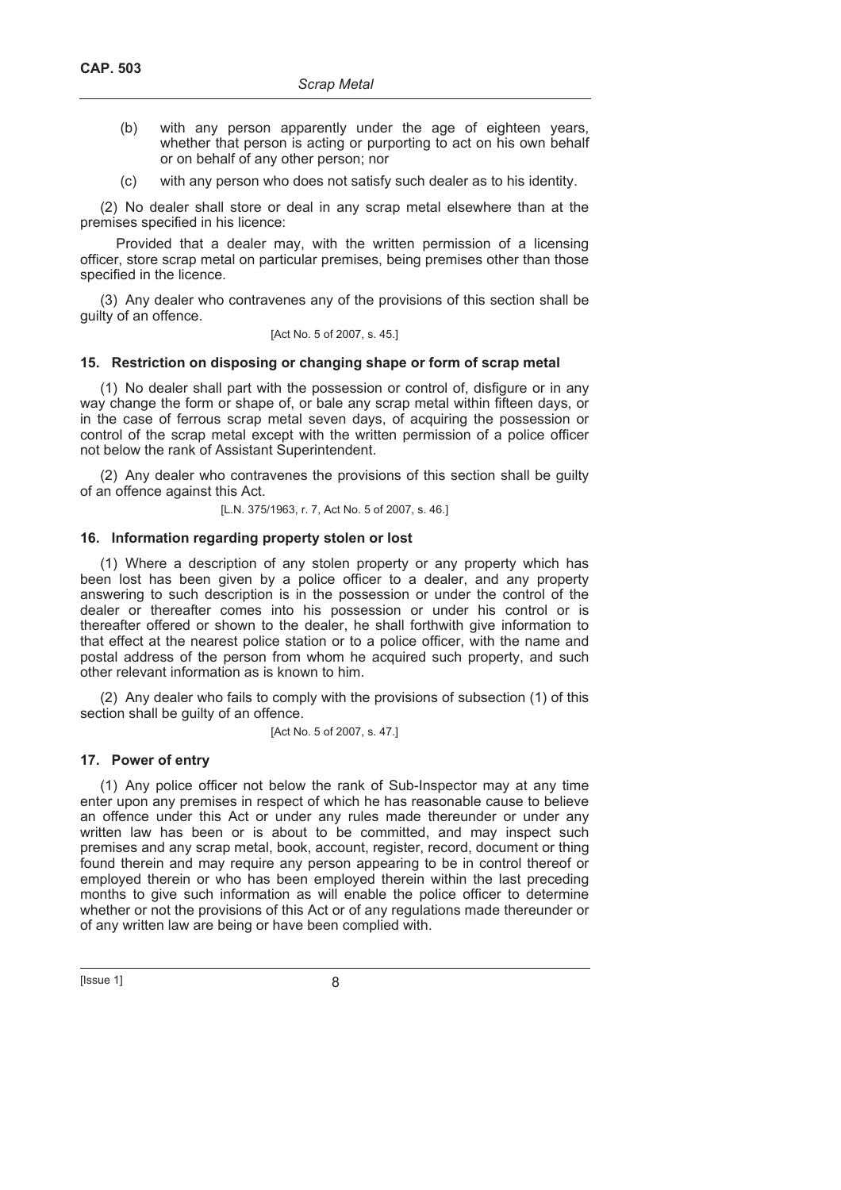- (b) with any person apparently under the age of eighteen years, whether that person is acting or purporting to act on his own behalf or on behalf of any other person; nor
- (c) with any person who does not satisfy such dealer as to his identity.

(2) No dealer shall store or deal in any scrap metal elsewhere than at the premises specified in his licence:

Provided that a dealer may, with the written permission of a licensing officer, store scrap metal on particular premises, being premises other than those specified in the licence.

(3) Any dealer who contravenes any of the provisions of this section shall be guilty of an offence.

### [Act No. 5 of 2007, s. 45.]

### **15. Restriction on disposing or changing shape or form of scrap metal**

(1) No dealer shall part with the possession or control of, disfigure or in any way change the form or shape of, or bale any scrap metal within fifteen days, or in the case of ferrous scrap metal seven days, of acquiring the possession or control of the scrap metal except with the written permission of a police officer not below the rank of Assistant Superintendent.

(2) Any dealer who contravenes the provisions of this section shall be guilty of an offence against this Act.

[L.N. 375/1963, r. 7, Act No. 5 of 2007, s. 46.]

### **16. Information regarding property stolen or lost**

(1) Where a description of any stolen property or any property which has been lost has been given by a police officer to a dealer, and any property answering to such description is in the possession or under the control of the dealer or thereafter comes into his possession or under his control or is thereafter offered or shown to the dealer, he shall forthwith give information to that effect at the nearest police station or to a police officer, with the name and postal address of the person from whom he acquired such property, and such other relevant information as is known to him.

(2) Any dealer who fails to comply with the provisions of subsection (1) of this section shall be guilty of an offence.

[Act No. 5 of 2007, s. 47.]

### **17. Power of entry**

(1) Any police officer not below the rank of Sub-Inspector may at any time enter upon any premises in respect of which he has reasonable cause to believe an offence under this Act or under any rules made thereunder or under any written law has been or is about to be committed, and may inspect such premises and any scrap metal, book, account, register, record, document or thing found therein and may require any person appearing to be in control thereof or employed therein or who has been employed therein within the last preceding months to give such information as will enable the police officer to determine whether or not the provisions of this Act or of any regulations made thereunder or of any written law are being or have been complied with.

 $[|$  Issue 1 $|$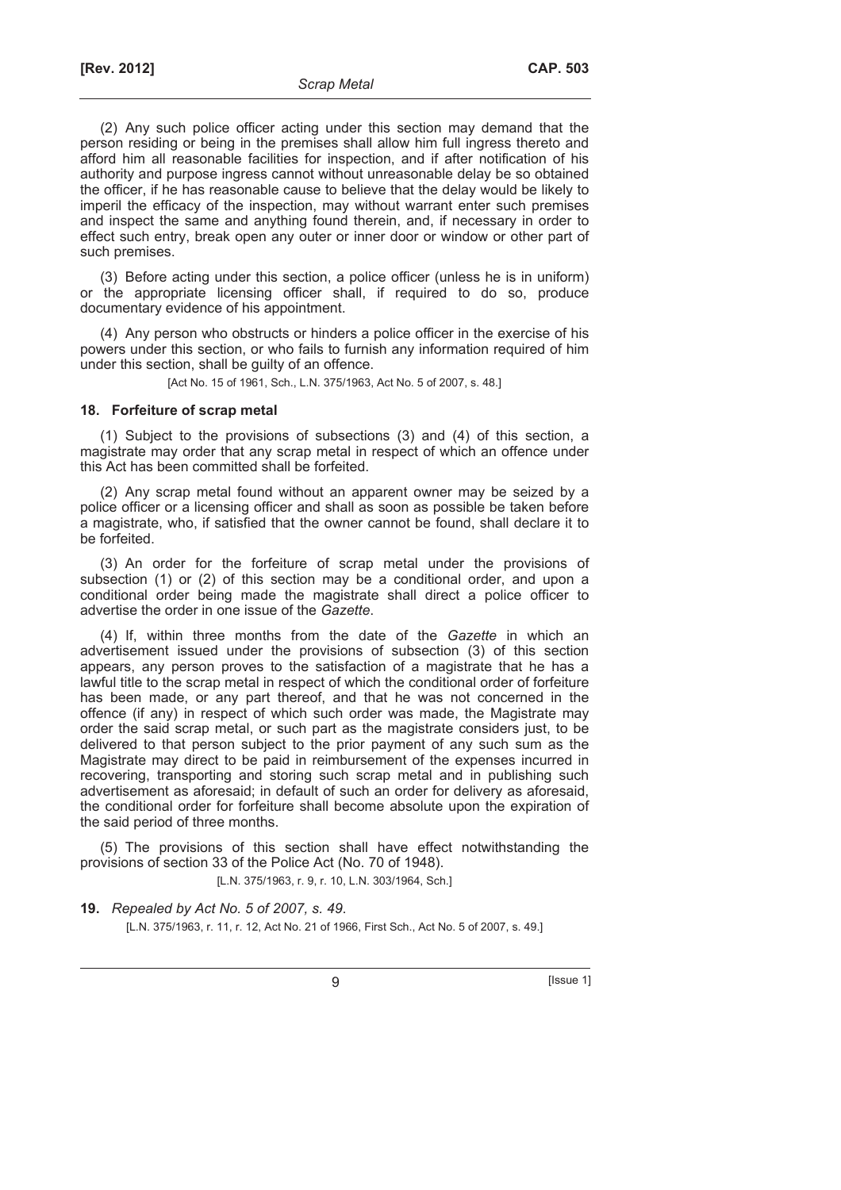(2) Any such police officer acting under this section may demand that the person residing or being in the premises shall allow him full ingress thereto and afford him all reasonable facilities for inspection, and if after notification of his authority and purpose ingress cannot without unreasonable delay be so obtained the officer, if he has reasonable cause to believe that the delay would be likely to imperil the efficacy of the inspection, may without warrant enter such premises and inspect the same and anything found therein, and, if necessary in order to effect such entry, break open any outer or inner door or window or other part of such premises.

(3) Before acting under this section, a police officer (unless he is in uniform) or the appropriate licensing officer shall, if required to do so, produce documentary evidence of his appointment.

(4) Any person who obstructs or hinders a police officer in the exercise of his powers under this section, or who fails to furnish any information required of him under this section, shall be guilty of an offence.

[Act No. 15 of 1961, Sch., L.N. 375/1963, Act No. 5 of 2007, s. 48.]

### **18. Forfeiture of scrap metal**

(1) Subject to the provisions of subsections (3) and (4) of this section, a magistrate may order that any scrap metal in respect of which an offence under this Act has been committed shall be forfeited.

(2) Any scrap metal found without an apparent owner may be seized by a police officer or a licensing officer and shall as soon as possible be taken before a magistrate, who, if satisfied that the owner cannot be found, shall declare it to be forfeited.

(3) An order for the forfeiture of scrap metal under the provisions of subsection (1) or (2) of this section may be a conditional order, and upon a conditional order being made the magistrate shall direct a police officer to advertise the order in one issue of the *Gazette*.

(4) If, within three months from the date of the *Gazette* in which an advertisement issued under the provisions of subsection (3) of this section appears, any person proves to the satisfaction of a magistrate that he has a lawful title to the scrap metal in respect of which the conditional order of forfeiture has been made, or any part thereof, and that he was not concerned in the offence (if any) in respect of which such order was made, the Magistrate may order the said scrap metal, or such part as the magistrate considers just, to be delivered to that person subject to the prior payment of any such sum as the Magistrate may direct to be paid in reimbursement of the expenses incurred in recovering, transporting and storing such scrap metal and in publishing such advertisement as aforesaid; in default of such an order for delivery as aforesaid, the conditional order for forfeiture shall become absolute upon the expiration of the said period of three months.

(5) The provisions of this section shall have effect notwithstanding the provisions of section 33 of the Police Act (No. 70 of 1948).

[L.N. 375/1963, r. 9, r. 10, L.N. 303/1964, Sch.]

**19.** *Repealed by Act No. 5 of 2007, s. 49*. [L.N. 375/1963, r. 11, r. 12, Act No. 21 of 1966, First Sch., Act No. 5 of 2007, s. 49.]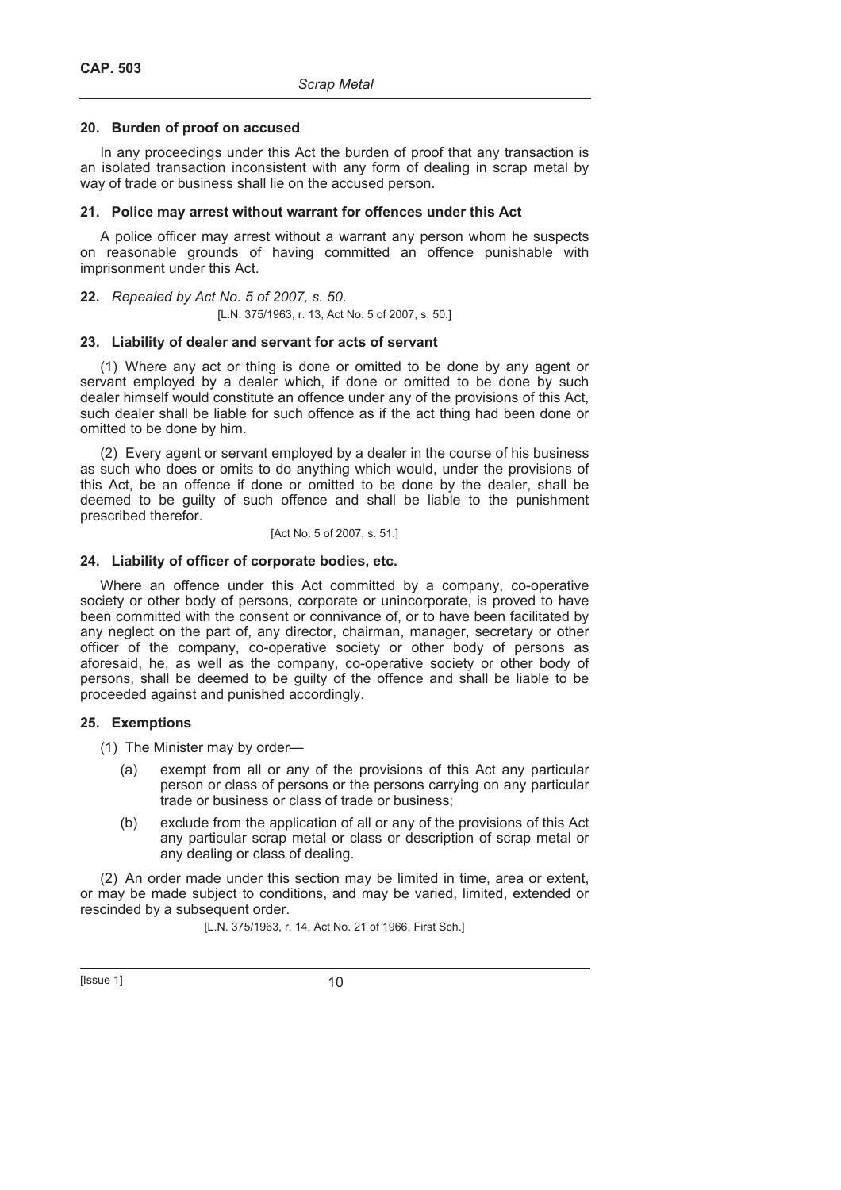### **20. Burden of proof on accused**

In any proceedings under this Act the burden of proof that any transaction is an isolated transaction inconsistent with any form of dealing in scrap metal by way of trade or business shall lie on the accused person.

### **21. Police may arrest without warrant for offences under this Act**

A police officer may arrest without a warrant any person whom he suspects on reasonable grounds of having committed an offence punishable with imprisonment under this Act.

### **22.** *Repealed by Act No. 5 of 2007, s. 50*.

[L.N. 375/1963, r. 13, Act No. 5 of 2007, s. 50.]

### **23. Liability of dealer and servant for acts of servant**

(1) Where any act or thing is done or omitted to be done by any agent or servant employed by a dealer which, if done or omitted to be done by such dealer himself would constitute an offence under any of the provisions of this Act, such dealer shall be liable for such offence as if the act thing had been done or omitted to be done by him.

(2) Every agent or servant employed by a dealer in the course of his business as such who does or omits to do anything which would, under the provisions of this Act, be an offence if done or omitted to be done by the dealer, shall be deemed to be guilty of such offence and shall be liable to the punishment prescribed therefor.

### [Act No. 5 of 2007, s. 51.]

### **24. Liability of officer of corporate bodies, etc.**

Where an offence under this Act committed by a company, co-operative society or other body of persons, corporate or unincorporate, is proved to have been committed with the consent or connivance of, or to have been facilitated by any neglect on the part of, any director, chairman, manager, secretary or other officer of the company, co-operative society or other body of persons as aforesaid, he, as well as the company, co-operative society or other body of persons, shall be deemed to be guilty of the offence and shall be liable to be proceeded against and punished accordingly.

### **25. Exemptions**

(1) The Minister may by order—

- (a) exempt from all or any of the provisions of this Act any particular person or class of persons or the persons carrying on any particular trade or business or class of trade or business;
- (b) exclude from the application of all or any of the provisions of this Act any particular scrap metal or class or description of scrap metal or any dealing or class of dealing.

(2) An order made under this section may be limited in time, area or extent, or may be made subject to conditions, and may be varied, limited, extended or rescinded by a subsequent order.

[L.N. 375/1963, r. 14, Act No. 21 of 1966, First Sch.]

 $[|$  Issue 1 $]$  10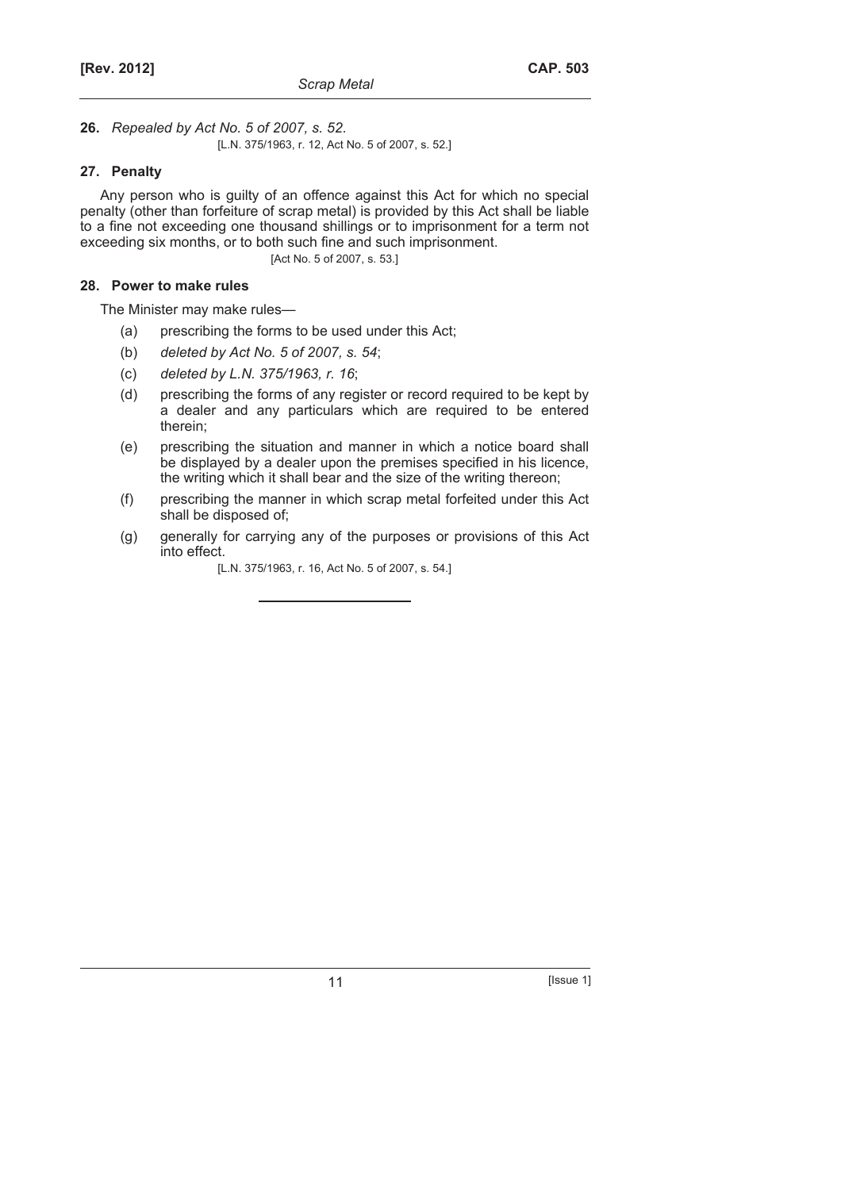**26.** *Repealed by Act No. 5 of 2007, s. 52*. [L.N. 375/1963, r. 12, Act No. 5 of 2007, s. 52.]

### **27. Penalty**

Any person who is guilty of an offence against this Act for which no special penalty (other than forfeiture of scrap metal) is provided by this Act shall be liable to a fine not exceeding one thousand shillings or to imprisonment for a term not exceeding six months, or to both such fine and such imprisonment.

[Act No. 5 of 2007, s. 53.]

### **28. Power to make rules**

The Minister may make rules—

- (a) prescribing the forms to be used under this Act;
- (b) *deleted by Act No. 5 of 2007, s. 54*;
- (c) *deleted by L.N. 375/1963, r. 16*;
- (d) prescribing the forms of any register or record required to be kept by a dealer and any particulars which are required to be entered therein;
- (e) prescribing the situation and manner in which a notice board shall be displayed by a dealer upon the premises specified in his licence, the writing which it shall bear and the size of the writing thereon;
- (f) prescribing the manner in which scrap metal forfeited under this Act shall be disposed of;
- (g) generally for carrying any of the purposes or provisions of this Act into effect.
	- [L.N. 375/1963, r. 16, Act No. 5 of 2007, s. 54.]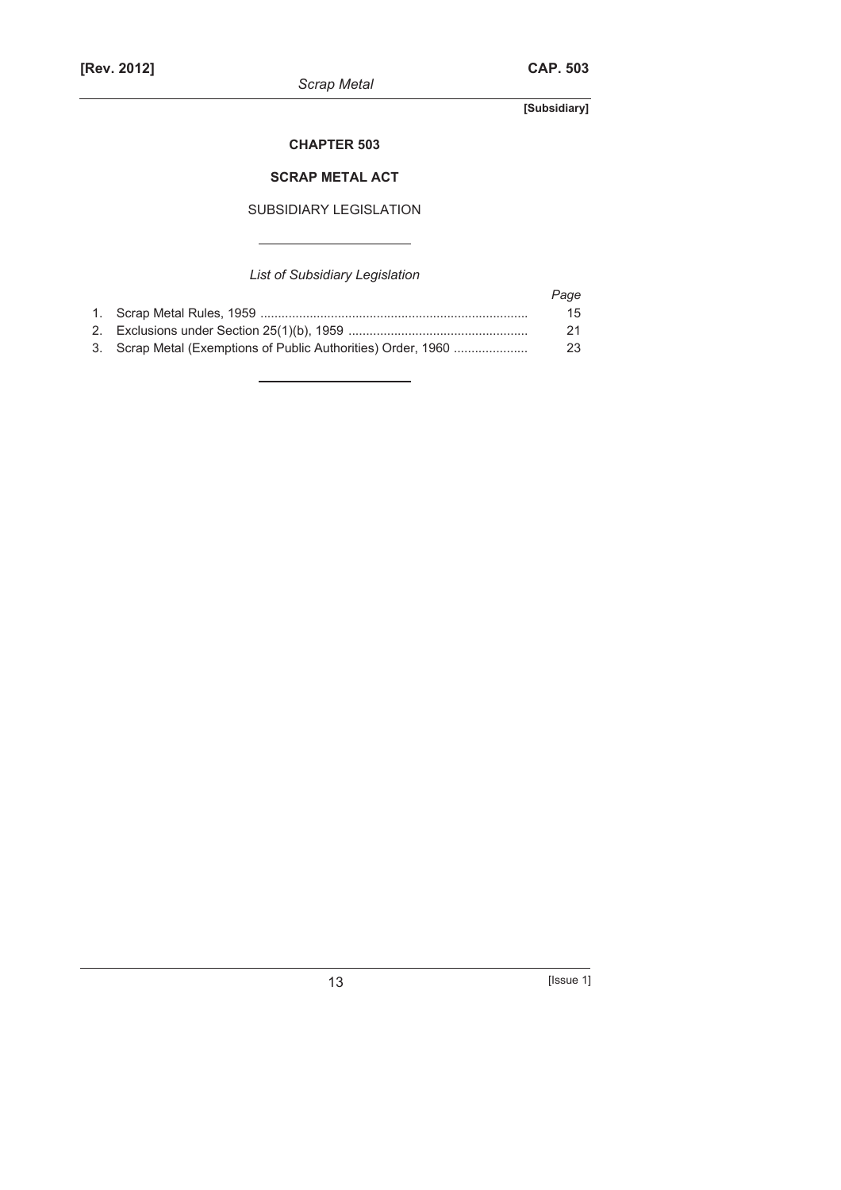*Scrap Metal* 

**[Subsidiary]** 

### **CHAPTER 503**

### **SCRAP METAL ACT**

### SUBSIDIARY LEGISLATION

## *List of Subsidiary Legislation*

|                                                               | Page |
|---------------------------------------------------------------|------|
|                                                               | 15   |
|                                                               | 21   |
| 3. Scrap Metal (Exemptions of Public Authorities) Order, 1960 | 23   |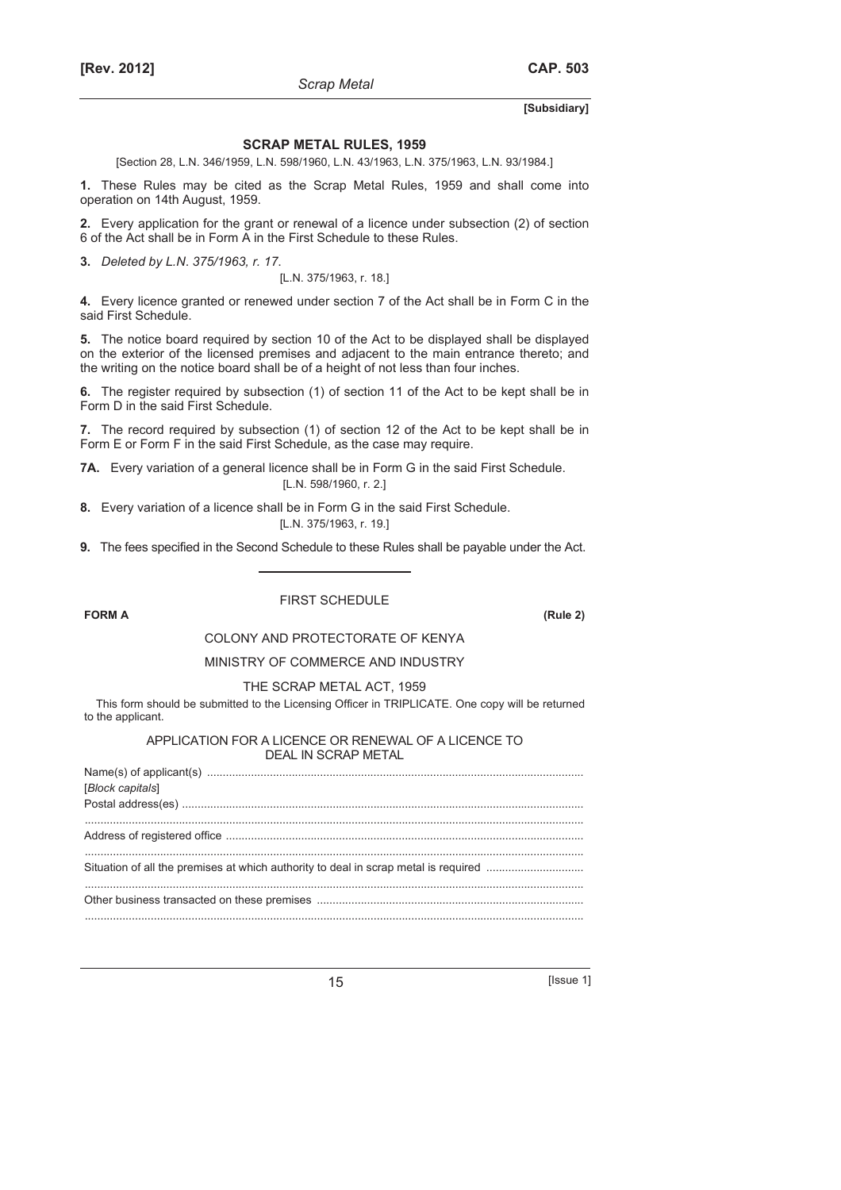#### **SCRAP METAL RULES, 1959**

*Scrap Metal* 

[Section 28, L.N. 346/1959, L.N. 598/1960, L.N. 43/1963, L.N. 375/1963, L.N. 93/1984.]

**1.** These Rules may be cited as the Scrap Metal Rules, 1959 and shall come into operation on 14th August, 1959.

**2.** Every application for the grant or renewal of a licence under subsection (2) of section 6 of the Act shall be in Form A in the First Schedule to these Rules.

**3.** *Deleted by L.N*. *375/1963, r. 17*.

[L.N. 375/1963, r. 18.]

**4.** Every licence granted or renewed under section 7 of the Act shall be in Form C in the said First Schedule.

**5.** The notice board required by section 10 of the Act to be displayed shall be displayed on the exterior of the licensed premises and adjacent to the main entrance thereto; and the writing on the notice board shall be of a height of not less than four inches.

**6.** The register required by subsection (1) of section 11 of the Act to be kept shall be in Form D in the said First Schedule.

**7.** The record required by subsection (1) of section 12 of the Act to be kept shall be in Form E or Form F in the said First Schedule, as the case may require.

**7A.** Every variation of a general licence shall be in Form G in the said First Schedule. [L.N. 598/1960, r. 2.]

**8.** Every variation of a licence shall be in Form G in the said First Schedule. [L.N. 375/1963, r. 19.]

**9.** The fees specified in the Second Schedule to these Rules shall be payable under the Act.

**FORM A (Rule 2)**

### FIRST SCHEDULE

#### COLONY AND PROTECTORATE OF KENYA

#### MINISTRY OF COMMERCE AND INDUSTRY

#### THE SCRAP METAL ACT, 1959

This form should be submitted to the Licensing Officer in TRIPLICATE. One copy will be returned to the applicant.

#### APPLICATION FOR A LICENCE OR RENEWAL OF A LICENCE TO DEAL IN SCRAP METAL

| [Block capitals] |  |
|------------------|--|
|                  |  |
|                  |  |
|                  |  |
|                  |  |
|                  |  |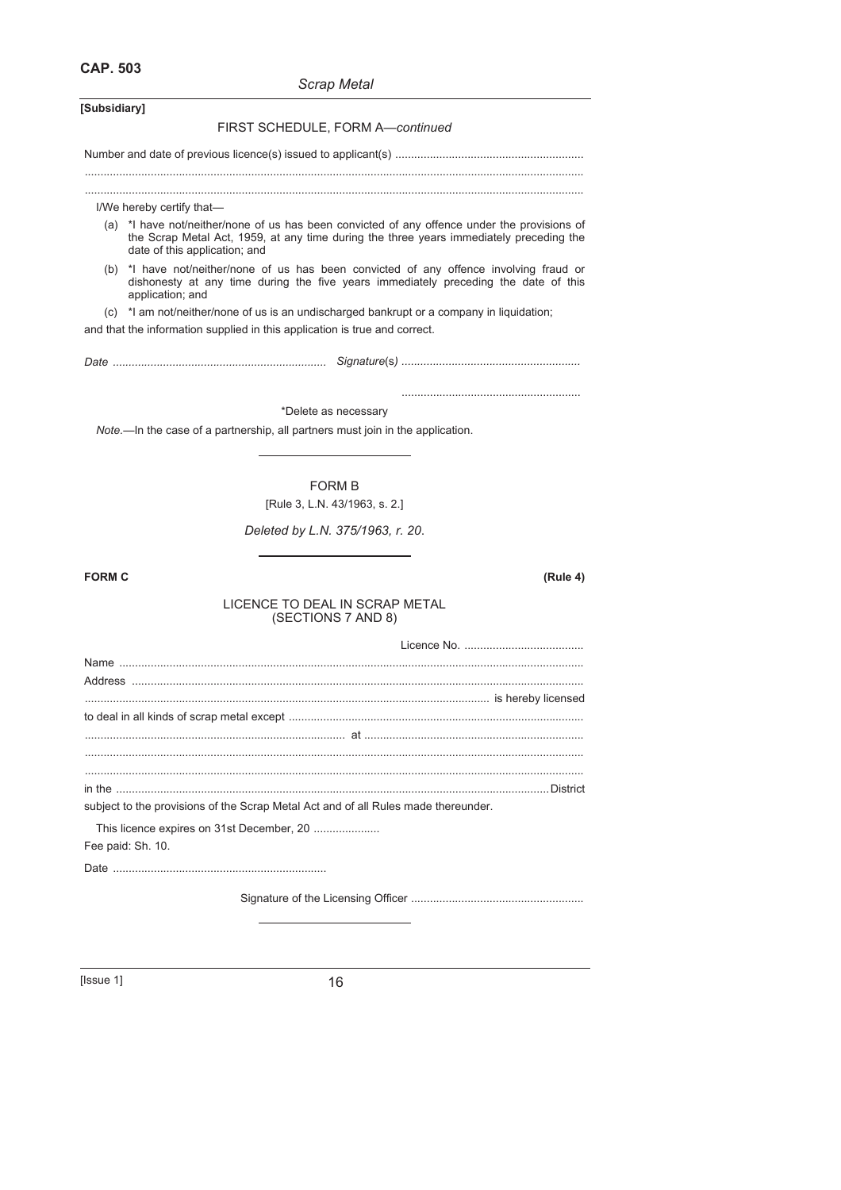**CAP. 503**

### *Scrap Metal*

| [Subsidiary]                                                                                                                                                                                                             |
|--------------------------------------------------------------------------------------------------------------------------------------------------------------------------------------------------------------------------|
| FIRST SCHEDULE, FORM A-continued                                                                                                                                                                                         |
|                                                                                                                                                                                                                          |
| I/We hereby certify that-                                                                                                                                                                                                |
| (a) *I have not/neither/none of us has been convicted of any offence under the provisions of<br>the Scrap Metal Act, 1959, at any time during the three years immediately preceding the<br>date of this application; and |
| (b) *I have not/neither/none of us has been convicted of any offence involving fraud or<br>dishonesty at any time during the five years immediately preceding the date of this<br>application; and                       |
| (c) *I am not/neither/none of us is an undischarged bankrupt or a company in liquidation;<br>and that the information supplied in this application is true and correct.                                                  |
|                                                                                                                                                                                                                          |
| *Delete as necessary                                                                                                                                                                                                     |
| Note.—In the case of a partnership, all partners must join in the application.                                                                                                                                           |
| <b>FORM B</b>                                                                                                                                                                                                            |
| [Rule 3, L.N. 43/1963, s. 2.]                                                                                                                                                                                            |
| Deleted by L.N. 375/1963, r. 20.                                                                                                                                                                                         |
| <b>FORM C</b><br>(Rule 4)                                                                                                                                                                                                |
| LICENCE TO DEAL IN SCRAP METAL<br>(SECTIONS 7 AND 8)                                                                                                                                                                     |
|                                                                                                                                                                                                                          |
|                                                                                                                                                                                                                          |
|                                                                                                                                                                                                                          |
|                                                                                                                                                                                                                          |
| at a                                                                                                                                                                                                                     |
|                                                                                                                                                                                                                          |
|                                                                                                                                                                                                                          |
| subject to the provisions of the Scrap Metal Act and of all Rules made thereunder.                                                                                                                                       |
| This licence expires on 31st December, 20<br>Fee paid: Sh. 10.                                                                                                                                                           |
|                                                                                                                                                                                                                          |
|                                                                                                                                                                                                                          |
|                                                                                                                                                                                                                          |

[Issue 1] 16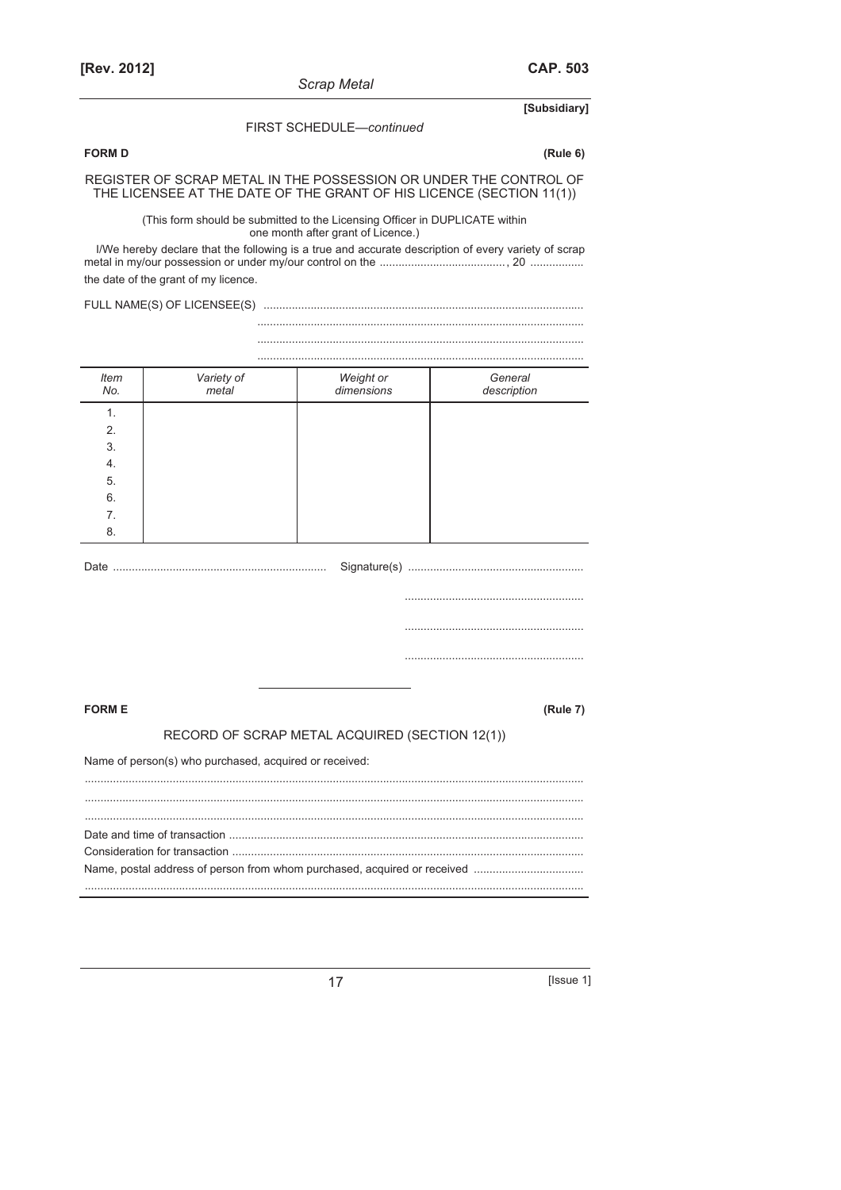**CAP. 503** 

[Subsidiary]

#### FIRST SCHEDULE-continued

### **FORM D**

 $(Rule 6)$ 

# REGISTER OF SCRAP METAL IN THE POSSESSION OR UNDER THE CONTROL OF THE LICENSEE AT THE DATE OF THE GRANT OF HIS LICENCE (SECTION 11(1))

(This form should be submitted to the Licensing Officer in DUPLICATE within<br>one month after grant of Licence.)

the date of the grant of my licence.

| <b>Item</b><br>No.                                                     | Variety of<br>metal                            | Weight or<br>dimensions | General<br>description |  |  |  |
|------------------------------------------------------------------------|------------------------------------------------|-------------------------|------------------------|--|--|--|
| 1.<br>2.<br>3.<br>$\overline{4}$ .<br>5.<br>6.<br>7 <sub>1</sub><br>8. |                                                |                         |                        |  |  |  |
|                                                                        |                                                |                         |                        |  |  |  |
|                                                                        |                                                |                         |                        |  |  |  |
|                                                                        |                                                |                         |                        |  |  |  |
|                                                                        |                                                |                         |                        |  |  |  |
| <b>FORM E</b>                                                          |                                                |                         | (Rule 7)               |  |  |  |
|                                                                        | RECORD OF SCRAP METAL ACQUIRED (SECTION 12(1)) |                         |                        |  |  |  |
| Name of person(s) who purchased, acquired or received:                 |                                                |                         |                        |  |  |  |
|                                                                        |                                                |                         |                        |  |  |  |
|                                                                        |                                                |                         |                        |  |  |  |

[Issue 1]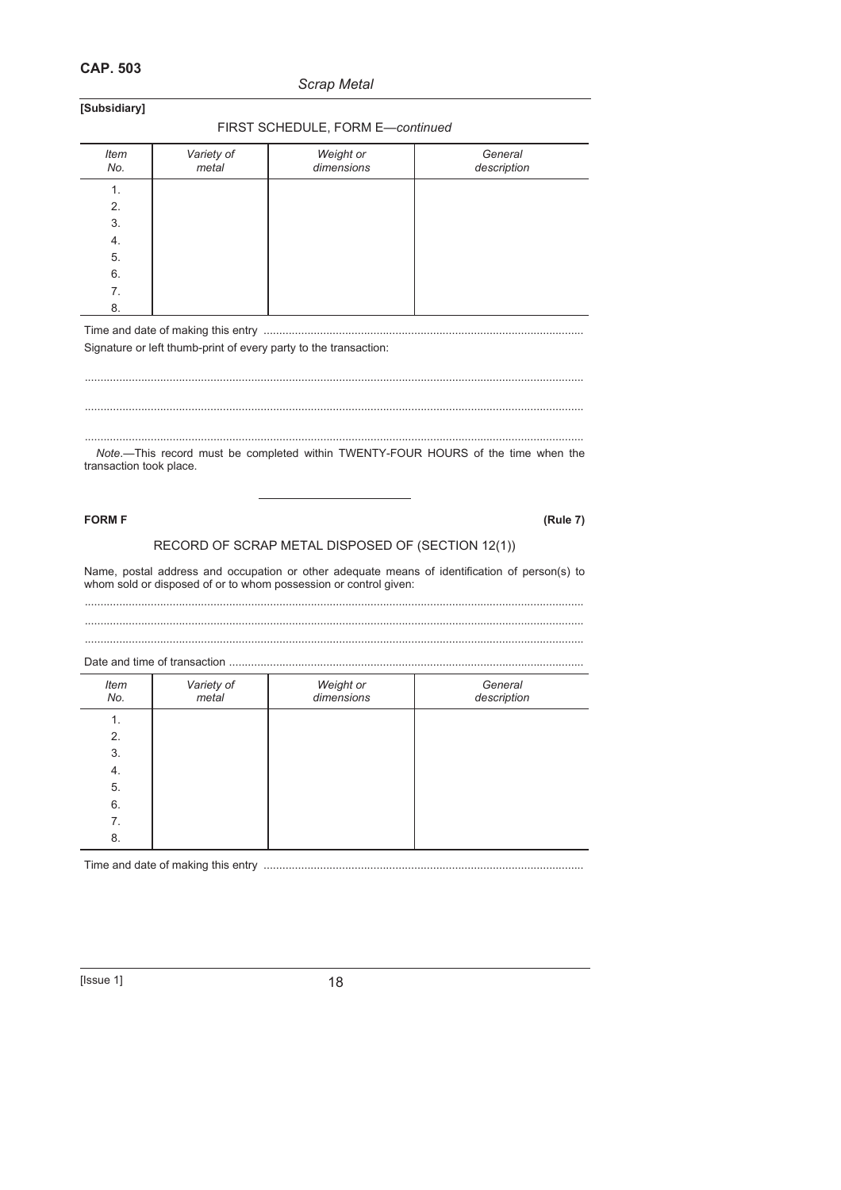### **CAP. 503**

### *Scrap Metal*

**[Subsidiary]** 

#### FIRST SCHEDULE, FORM E—*continued*

| <b>Item</b><br>No. | Variety of<br>metal | Weight or<br>dimensions | General<br>description |
|--------------------|---------------------|-------------------------|------------------------|
| 1.                 |                     |                         |                        |
| 2.                 |                     |                         |                        |
| 3.                 |                     |                         |                        |
| 4.                 |                     |                         |                        |
| 5.                 |                     |                         |                        |
| 6.                 |                     |                         |                        |
| 7.                 |                     |                         |                        |
| 8.                 |                     |                         |                        |

Time and date of making this entry ......................................................................................................

Signature or left thumb-print of every party to the transaction:

...............................................................................................................................................................

...............................................................................................................................................................

............................................................................................................................................................... *Note*.—This record must be completed within TWENTY-FOUR HOURS of the time when the transaction took place.

**FORM F (Rule 7)**

### RECORD OF SCRAP METAL DISPOSED OF (SECTION 12(1))

Name, postal address and occupation or other adequate means of identification of person(s) to whom sold or disposed of or to whom possession or control given:

............................................................................................................................................................... ...............................................................................................................................................................

...............................................................................................................................................................

Date and time of transaction

| Date and time of transaction |                     |                         |                        |  |  |
|------------------------------|---------------------|-------------------------|------------------------|--|--|
| Item<br>No.                  | Variety of<br>metal | Weight or<br>dimensions | General<br>description |  |  |
| 1.                           |                     |                         |                        |  |  |
| 2.                           |                     |                         |                        |  |  |
| 3.                           |                     |                         |                        |  |  |
| 4.                           |                     |                         |                        |  |  |
| 5.                           |                     |                         |                        |  |  |
| 6.                           |                     |                         |                        |  |  |
| 7.                           |                     |                         |                        |  |  |
| 8.                           |                     |                         |                        |  |  |
|                              |                     |                         |                        |  |  |

Time and date of making this entry ......................................................................................................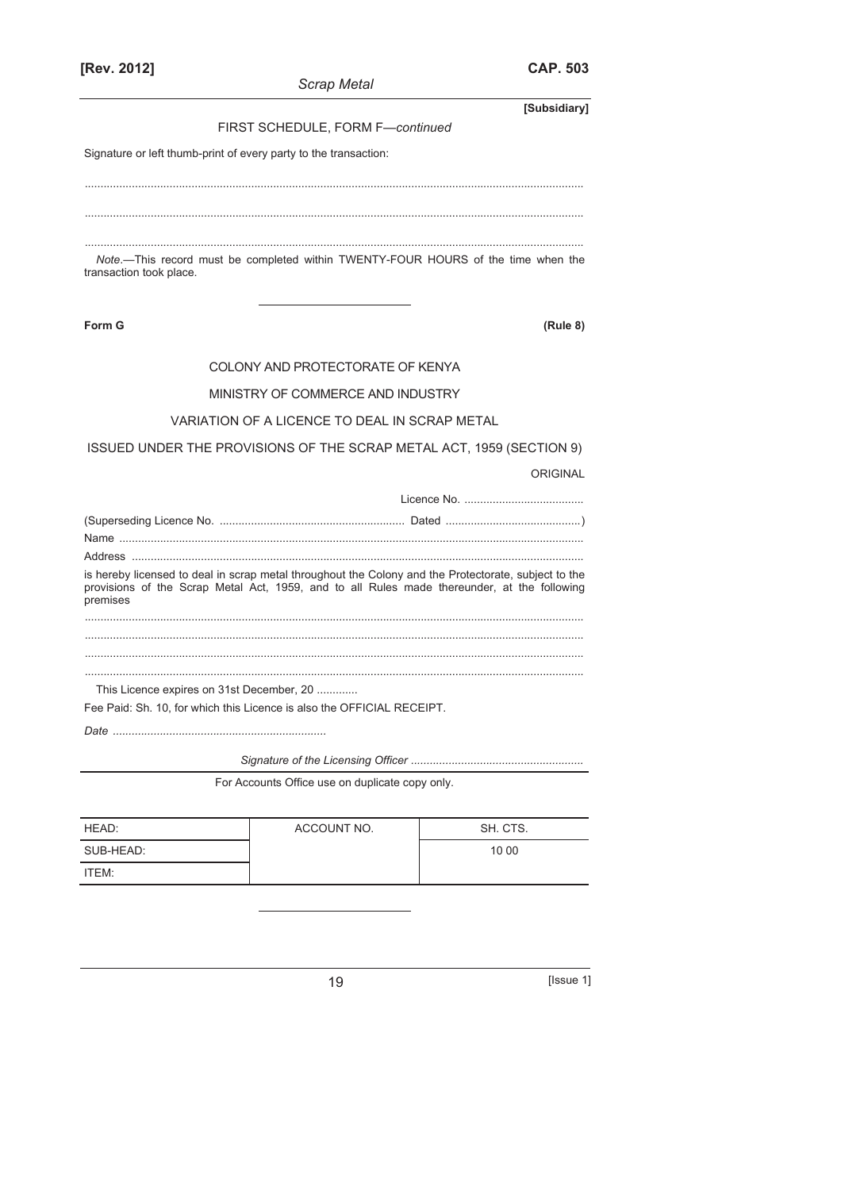**[Subsidiary]**  FIRST SCHEDULE, FORM F—*continued* Signature or left thumb-print of every party to the transaction: ............................................................................................................................................................... ............................................................................................................................................................... *Note*.—This record must be completed within TWENTY-FOUR HOURS of the time when the transaction took place. **Form G (Rule 8)** COLONY AND PROTECTORATE OF KENYA MINISTRY OF COMMERCE AND INDUSTRY VARIATION OF A LICENCE TO DEAL IN SCRAP METAL ISSUED UNDER THE PROVISIONS OF THE SCRAP METAL ACT, 1959 (SECTION 9) ORIGINAL Licence No. ...................................... (Superseding Licence No. ........................................................... Dated ...........................................) Name .................................................................................................................................................... Address ................................................................................................................................................ is hereby licensed to deal in scrap metal throughout the Colony and the Protectorate, subject to the provisions of the Scrap Metal Act, 1959, and to all Rules made thereunder, at the following premises

............................................................................................................................................................... ............................................................................................................................................................... ...............................................................................................................................................................

...............................................................................................................................................................

This Licence expires on 31st December, 20 ............. Fee Paid: Sh. 10, for which this Licence is also the OFFICIAL RECEIPT.

*Date ....................................................................* 

*Signature of the Licensing Officer .......................................................*

For Accounts Office use on duplicate copy only.

| HEAD:     | ACCOUNT NO. | SH. CTS. |
|-----------|-------------|----------|
| SUB-HEAD: |             | 10 00    |
| ITEM:     |             |          |

19 **ISSUE 1** [Issue 1]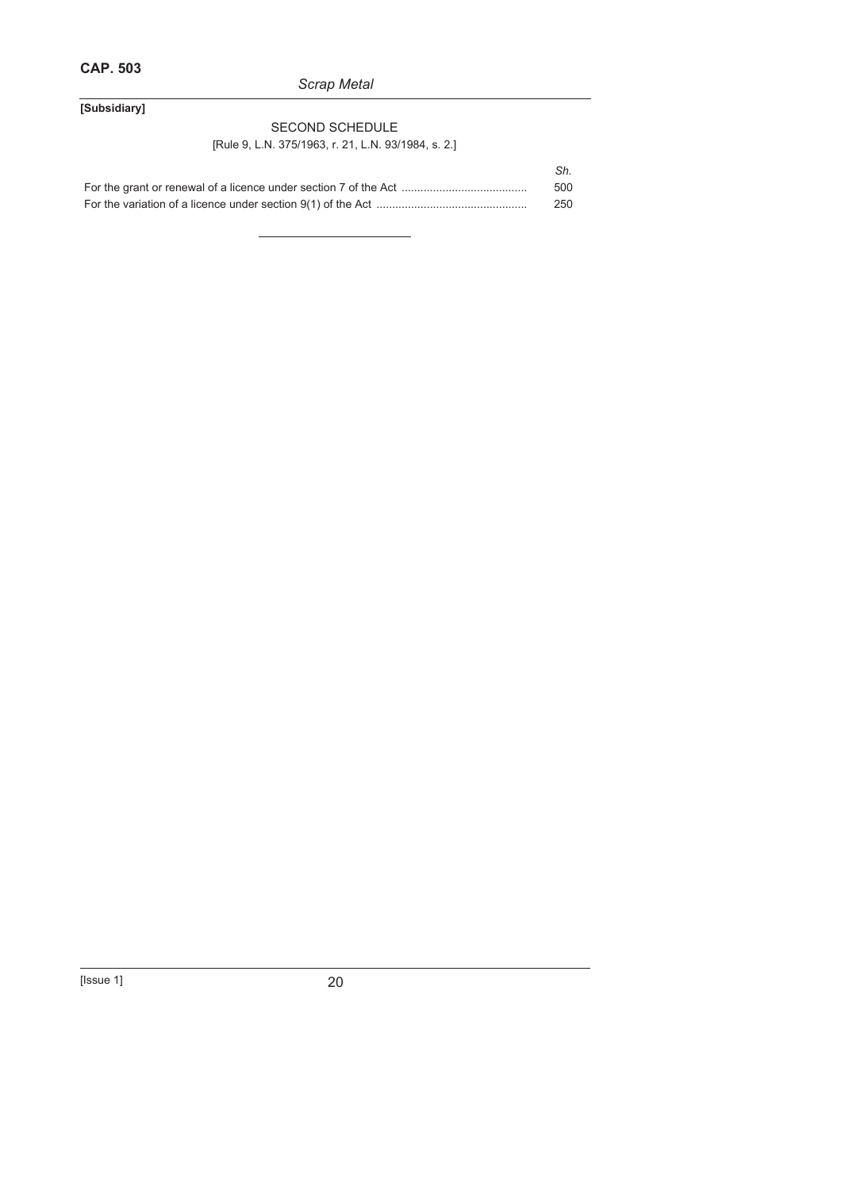### *Scrap Metal*

### **[Subsidiary]**

### SECOND SCHEDULE

### [Rule 9, L.N. 375/1963, r. 21, L.N. 93/1984, s. 2.]

| Sh. |
|-----|
| 500 |
| 250 |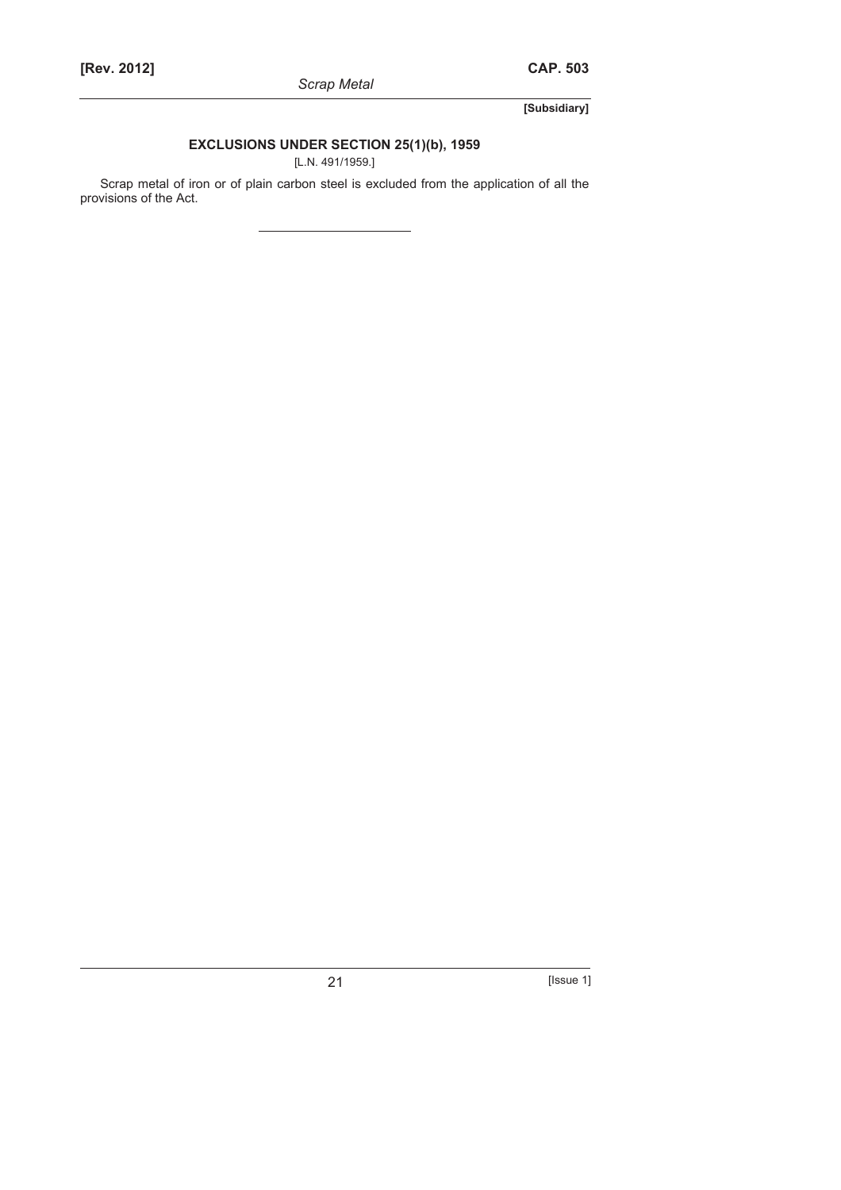**[Subsidiary]** 

### **EXCLUSIONS UNDER SECTION 25(1)(b), 1959**

[L.N. 491/1959.]

Scrap metal of iron or of plain carbon steel is excluded from the application of all the provisions of the Act.